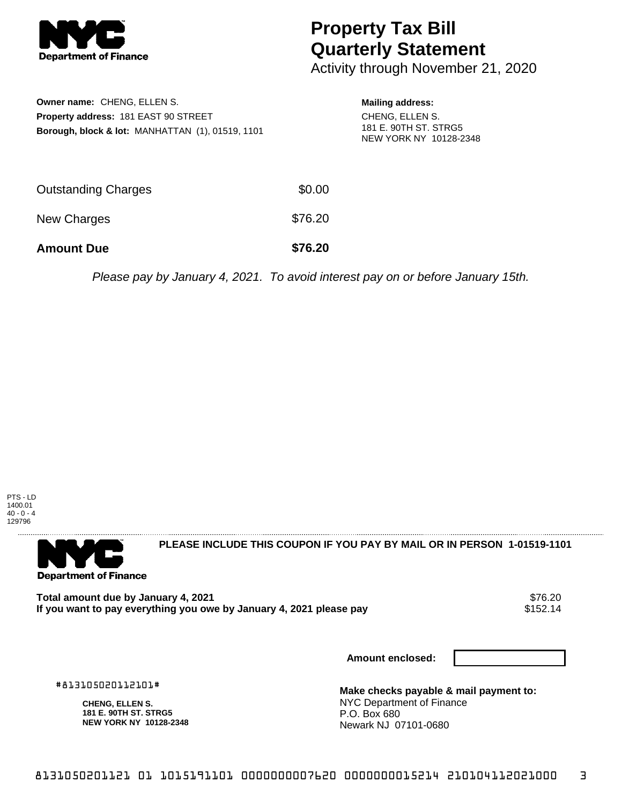

## **Property Tax Bill Quarterly Statement**

Activity through November 21, 2020

| <b>Owner name: CHENG, ELLEN S.</b><br><b>Property address: 181 EAST 90 STREET</b><br>Borough, block & lot: MANHATTAN (1), 01519, 1101 |         | <b>Mailing address:</b><br>CHENG, ELLEN S.<br>181 E. 90TH ST. STRG5<br>NEW YORK NY 10128-2348 |
|---------------------------------------------------------------------------------------------------------------------------------------|---------|-----------------------------------------------------------------------------------------------|
| <b>Outstanding Charges</b>                                                                                                            | \$0.00  |                                                                                               |
| New Charges                                                                                                                           | \$76.20 |                                                                                               |

Please pay by January 4, 2021. To avoid interest pay on or before January 15th.





**PLEASE INCLUDE THIS COUPON IF YOU PAY BY MAIL OR IN PERSON 1-01519-1101** 

Total amount due by January 4, 2021<br>If you want to pay everything you owe by January 4, 2021 please pay **show that the state of the US**152.14 If you want to pay everything you owe by January 4, 2021 please pay

**Amount Due \$76.20**

**Amount enclosed:**

#813105020112101#

**CHENG, ELLEN S. 181 E. 90TH ST. STRG5 NEW YORK NY 10128-2348** **Make checks payable & mail payment to:** NYC Department of Finance P.O. Box 680 Newark NJ 07101-0680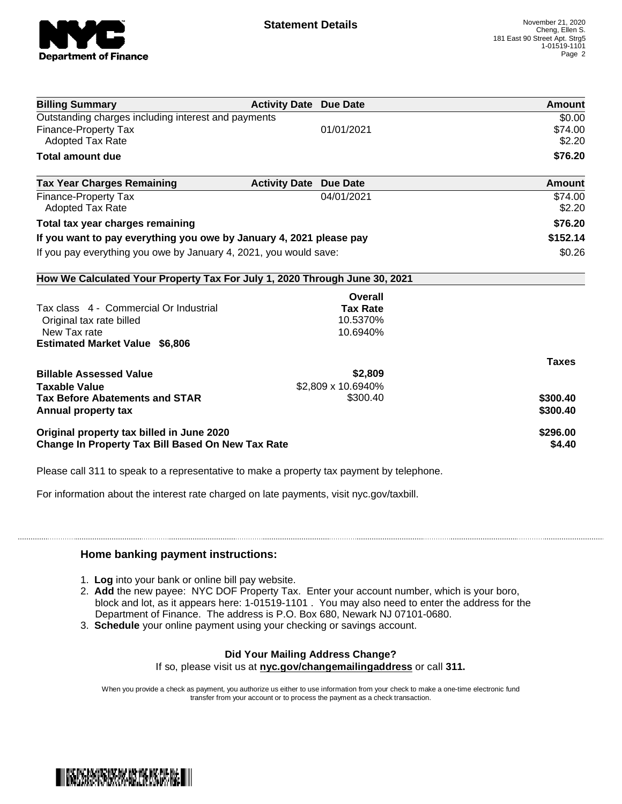

| <b>Billing Summary</b>                                                     | <b>Activity Date Due Date</b> |                    | <b>Amount</b> |
|----------------------------------------------------------------------------|-------------------------------|--------------------|---------------|
| Outstanding charges including interest and payments                        |                               |                    | \$0.00        |
| Finance-Property Tax                                                       |                               | 01/01/2021         | \$74.00       |
| <b>Adopted Tax Rate</b>                                                    |                               |                    | \$2.20        |
| Total amount due                                                           |                               |                    | \$76.20       |
| <b>Tax Year Charges Remaining</b>                                          | <b>Activity Date</b>          | <b>Due Date</b>    | Amount        |
| <b>Finance-Property Tax</b>                                                |                               | 04/01/2021         | \$74.00       |
| <b>Adopted Tax Rate</b>                                                    |                               |                    | \$2.20        |
| Total tax year charges remaining                                           |                               |                    | \$76.20       |
| If you want to pay everything you owe by January 4, 2021 please pay        |                               | \$152.14           |               |
| If you pay everything you owe by January 4, 2021, you would save:          |                               |                    | \$0.26        |
| How We Calculated Your Property Tax For July 1, 2020 Through June 30, 2021 |                               |                    |               |
|                                                                            |                               | Overall            |               |
| Tax class 4 - Commercial Or Industrial                                     |                               | <b>Tax Rate</b>    |               |
| Original tax rate billed                                                   |                               | 10.5370%           |               |
| New Tax rate                                                               |                               | 10.6940%           |               |
| <b>Estimated Market Value \$6,806</b>                                      |                               |                    |               |
|                                                                            |                               |                    | <b>Taxes</b>  |
| <b>Billable Assessed Value</b>                                             |                               | \$2,809            |               |
| <b>Taxable Value</b>                                                       |                               | \$2,809 x 10.6940% |               |
| <b>Tax Before Abatements and STAR</b>                                      |                               | \$300.40           | \$300.40      |
| Annual property tax                                                        |                               |                    | \$300.40      |
| Original property tax billed in June 2020                                  |                               |                    | \$296.00      |
| <b>Change In Property Tax Bill Based On New Tax Rate</b>                   |                               |                    | \$4.40        |

Please call 311 to speak to a representative to make a property tax payment by telephone.

For information about the interest rate charged on late payments, visit nyc.gov/taxbill.

## **Home banking payment instructions:**

- 1. **Log** into your bank or online bill pay website.
- 2. **Add** the new payee: NYC DOF Property Tax. Enter your account number, which is your boro, block and lot, as it appears here: 1-01519-1101 . You may also need to enter the address for the Department of Finance. The address is P.O. Box 680, Newark NJ 07101-0680.
- 3. **Schedule** your online payment using your checking or savings account.

## **Did Your Mailing Address Change?**

If so, please visit us at **nyc.gov/changemailingaddress** or call **311.**

When you provide a check as payment, you authorize us either to use information from your check to make a one-time electronic fund transfer from your account or to process the payment as a check transaction.